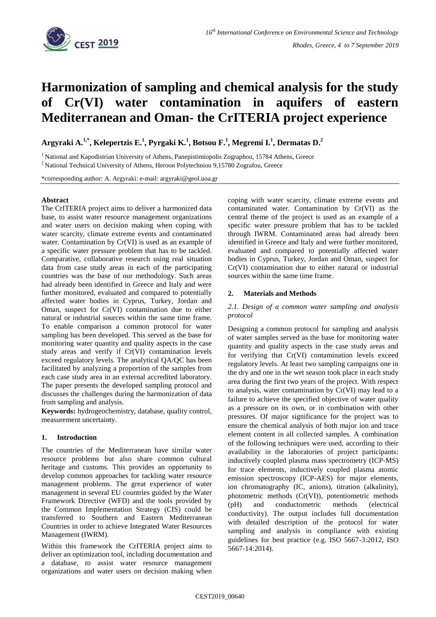

# **Harmonization of sampling and chemical analysis for the study of Cr(VI) water contamination in aquifers of eastern Mediterranean and Oman- the CrITERIA project experience**

**Argyraki A. 1,\* , Kelepertzis E. 1 , Pyrgaki K. 1 , Botsou F. 1 , Megremi I.<sup>1</sup> , Dermatas D.<sup>2</sup>**

<sup>1</sup> National and Kapodistrian University of Athens, Panepistimiopolis Zographou, 15784 Athens, Greece

<sup>2</sup> National Technical University of Athens, Heroon Polytechniou 9,15780 Zografou, Greece

\*corresponding author: A. Argyraki: e-mail: argyraki@geol.uoa.gr

#### **Abstract**

The CrITERIA project aims to deliver a harmonized data base, to assist water resource management organizations and water users on decision making when coping with water scarcity, climate extreme events and contaminated water. Contamination by Cr(VI) is used as an example of a specific water pressure problem that has to be tackled. Comparative, collaborative research using real situation data from case study areas in each of the participating countries was the base of our methodology. Such areas had already been identified in Greece and Italy and were further monitored, evaluated and compared to potentially affected water bodies in Cyprus, Turkey, Jordan and Oman, suspect for Cr(VI) contamination due to either natural or industrial sources within the same time frame. To enable comparison a common protocol for water sampling has been developed. This served as the base for monitoring water quantity and quality aspects in the case study areas and verify if Cr(VI) contamination levels exceed regulatory levels. The analytical QA/QC has been facilitated by analyzing a proportion of the samples from each case study area in an external accredited laboratory. The paper presents the developed sampling protocol and discusses the challenges during the harmonization of data from sampling and analysis.

**Keywords:** hydrogeochemistry, database, quality control, measurement uncertainty.

## **1. Introduction**

The countries of the Mediterranean have similar water resource problems but also share common cultural heritage and customs. This provides an opportunity to develop common approaches for tackling water resource management problems. The great experience of water management in several EU countries guided by the Water Framework Directive (WFD) and the tools provided by the Common Implementation Strategy (CIS) could be transferred to Southern and Eastern Mediterranean Countries in order to achieve Integrated Water Resources Management (IWRM).

Within this framework the CrITERIA project aims to deliver an optimization tool, including documentation and a database, to assist water resource management organizations and water users on decision making when

coping with water scarcity, climate extreme events and contaminated water. Contamination by Cr(VI) as the central theme of the project is used as an example of a specific water pressure problem that has to be tackled through IWRM. Contaminated areas had already been identified in Greece and Italy and were further monitored, evaluated and compared to potentially affected water bodies in Cyprus, Turkey, Jordan and Oman, suspect for Cr(VI) contamination due to either natural or industrial sources within the same time frame.

## **2. Materials and Methods**

## *2.1. Design of a common water sampling and analysis protocol*

Designing a common protocol for sampling and analysis of water samples served as the base for monitoring water quantity and quality aspects in the case study areas and for verifying that Cr(VI) contamination levels exceed regulatory levels. At least two sampling campaigns one in the dry and one in the wet season took place in each study area during the first two years of the project. With respect to analysis, water contamination by Cr(VI) may lead to a failure to achieve the specified objective of water quality as a pressure on its own, or in combination with other pressures. Of major significance for the project was to ensure the chemical analysis of both major ion and trace element content in all collected samples. A combination of the following techniques were used, according to their availability in the laboratories of project participants: inductively coupled plasma mass spectrometry (ICP-MS) for trace elements, inductively coupled plasma atomic emission spectroscopy (ICP-AES) for major elements, ion chromatography (IC, anions), titration (alkalinity), photometric methods (Cr(VI)), potentiometric methods (pH) and conductometric methods (electrical conductivity). The output includes full documentation with detailed description of the protocol for water sampling and analysis in compliance with existing guidelines for best practice (e.g. ISO 5667-3:2012, ISO 5667-14:2014).